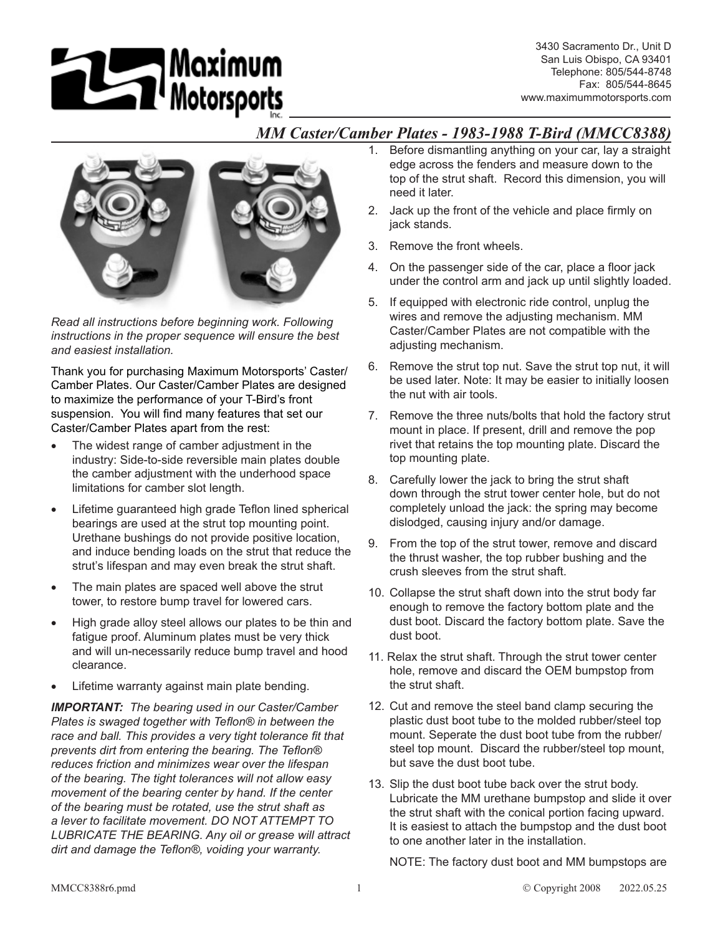# **15 Maximum**<br>Motorsports

3430 Sacramento Dr., Unit D San Luis Obispo, CA 93401 Telephone: 805/544-8748 Fax: 805/544-8645 www.maximummotorsports.com

## *MM Caster/Camber Plates - 1983-1988 T-Bird (MMCC8388)*



*Read all instructions before beginning work. Following instructions in the proper sequence will ensure the best and easiest installation.*

Thank you for purchasing Maximum Motorsports' Caster/ Camber Plates. Our Caster/Camber Plates are designed to maximize the performance of your T-Bird's front suspension. You will find many features that set our Caster/Camber Plates apart from the rest:

- The widest range of camber adjustment in the industry: Side-to-side reversible main plates double the camber adjustment with the underhood space limitations for camber slot length.
- Lifetime guaranteed high grade Teflon lined spherical bearings are used at the strut top mounting point. Urethane bushings do not provide positive location, and induce bending loads on the strut that reduce the strut's lifespan and may even break the strut shaft.
- The main plates are spaced well above the strut tower, to restore bump travel for lowered cars.
- High grade alloy steel allows our plates to be thin and fatigue proof. Aluminum plates must be very thick and will un-necessarily reduce bump travel and hood clearance.
- Lifetime warranty against main plate bending.

*IMPORTANT: The bearing used in our Caster/Camber Plates is swaged together with Teflon® in between the race and ball. This provides a very tight tolerance fit that prevents dirt from entering the bearing. The Teflon® reduces friction and minimizes wear over the lifespan of the bearing. The tight tolerances will not allow easy movement of the bearing center by hand. If the center of the bearing must be rotated, use the strut shaft as a lever to facilitate movement. DO NOT ATTEMPT TO LUBRICATE THE BEARING. Any oil or grease will attract dirt and damage the Teflon®, voiding your warranty.*

- 1. Before dismantling anything on your car, lay a straight edge across the fenders and measure down to the top of the strut shaft. Record this dimension, you will need it later.
- 2. Jack up the front of the vehicle and place firmly on jack stands.
- 3. Remove the front wheels.
- 4. On the passenger side of the car, place a floor jack under the control arm and jack up until slightly loaded.
- 5. If equipped with electronic ride control, unplug the wires and remove the adjusting mechanism. MM Caster/Camber Plates are not compatible with the adjusting mechanism.
- 6. Remove the strut top nut. Save the strut top nut, it will be used later. Note: It may be easier to initially loosen the nut with air tools.
- 7. Remove the three nuts/bolts that hold the factory strut mount in place. If present, drill and remove the pop rivet that retains the top mounting plate. Discard the top mounting plate.
- 8. Carefully lower the jack to bring the strut shaft down through the strut tower center hole, but do not completely unload the jack: the spring may become dislodged, causing injury and/or damage.
- 9. From the top of the strut tower, remove and discard the thrust washer, the top rubber bushing and the crush sleeves from the strut shaft.
- 10. Collapse the strut shaft down into the strut body far enough to remove the factory bottom plate and the dust boot. Discard the factory bottom plate. Save the dust boot.
- 11. Relax the strut shaft. Through the strut tower center hole, remove and discard the OEM bumpstop from the strut shaft.
- 12. Cut and remove the steel band clamp securing the plastic dust boot tube to the molded rubber/steel top mount. Seperate the dust boot tube from the rubber/ steel top mount. Discard the rubber/steel top mount, but save the dust boot tube.
- 13. Slip the dust boot tube back over the strut body. Lubricate the MM urethane bumpstop and slide it over the strut shaft with the conical portion facing upward. It is easiest to attach the bumpstop and the dust boot to one another later in the installation.

NOTE: The factory dust boot and MM bumpstops are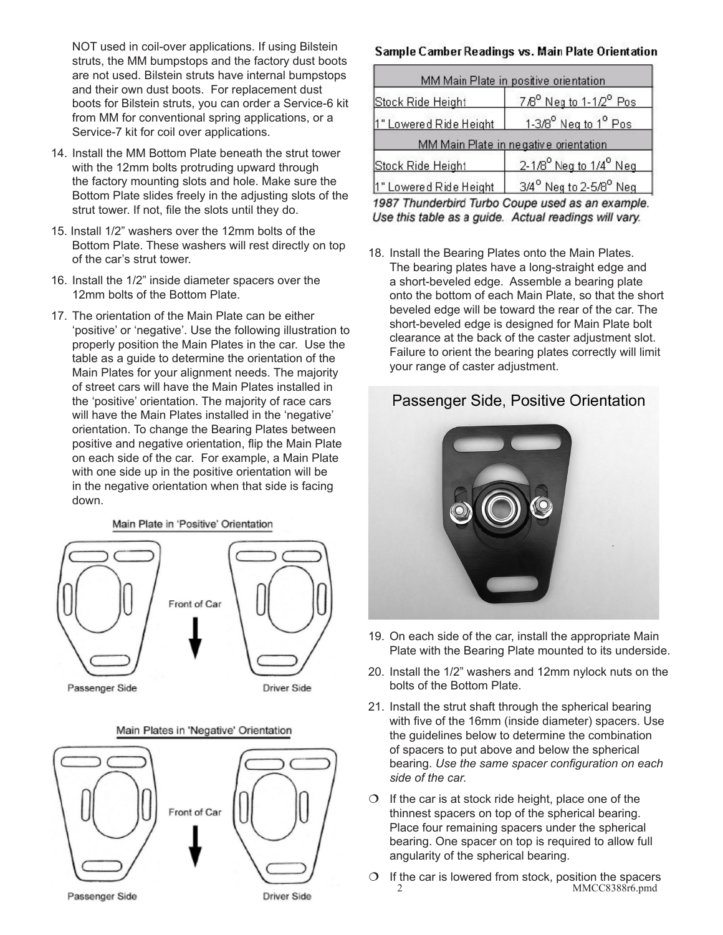NOT used in coil-over applications. If using Bilstein struts, the MM bumpstops and the factory dust boots are not used. Bilstein struts have internal bumpstops and their own dust boots. For replacement dust boots for Bilstein struts, you can order a Service-6 kit from MM for conventional spring applications, or a Service-7 kit for coil over applications.

- 14. Install the MM Bottom Plate beneath the strut tower with the 12mm bolts protruding upward through the factory mounting slots and hole. Make sure the Bottom Plate slides freely in the adjusting slots of the strut tower. If not, file the slots until they do.
- 15. Install 1/2" washers over the 12mm bolts of the Bottom Plate. These washers will rest directly on top of the car's strut tower.
- 16. Install the 1/2" inside diameter spacers over the 12mm bolts of the Bottom Plate.
- 17. The orientation of the Main Plate can be either 'positive' or 'negative'. Use the following illustration to properly position the Main Plates in the car. Use the table as a guide to determine the orientation of the Main Plates for your alignment needs. The majority of street cars will have the Main Plates installed in the 'positive' orientation. The majority of race cars will have the Main Plates installed in the 'negative' orientation. To change the Bearing Plates between positive and negative orientation, flip the Main Plate on each side of the car. For example, a Main Plate with one side up in the positive orientation will be in the negative orientation when that side is facing down.

Main Plate in 'Positive' Orientation



Main Plates in 'Negative' Orientation



### Sample Camber Readings vs. Main Plate Orientation

| MM Main Plate in positive orientation |                                                |
|---------------------------------------|------------------------------------------------|
| Stock Ride Height                     | 7/8 <sup>°</sup> Neg to 1-1/2 <sup>°</sup> Pos |
| 1" Lowered Ride Height                | 1-3/8 <sup>°</sup> Neg to 1 <sup>°</sup> Pos   |
|                                       | MM Main Plate in negative orientation          |
| Stock Ride Height                     | 2-1/8 <sup>°</sup> Neg to 1/4 <sup>°</sup> Neg |
| 1" Lowered Ride Height                | 3/4 <sup>°</sup> Neg to 2-5/8 <sup>°</sup> Neg |

1987 Thunderbird Turbo Coupe used as an example. Use this table as a guide. Actual readings will vary.

18. Install the Bearing Plates onto the Main Plates. The bearing plates have a long-straight edge and a short-beveled edge. Assemble a bearing plate onto the bottom of each Main Plate, so that the short beveled edge will be toward the rear of the car. The short-beveled edge is designed for Main Plate bolt clearance at the back of the caster adjustment slot. Failure to orient the bearing plates correctly will limit your range of caster adjustment.

# Passenger Side, Positive Orientation



- 19. On each side of the car, install the appropriate Main Plate with the Bearing Plate mounted to its underside.
- 20. Install the 1/2" washers and 12mm nylock nuts on the bolts of the Bottom Plate.
- 21. Install the strut shaft through the spherical bearing with five of the 16mm (inside diameter) spacers. Use the guidelines below to determine the combination of spacers to put above and below the spherical bearing. *Use the same spacer configuration on each side of the car.*
- $\circ$  If the car is at stock ride height, place one of the thinnest spacers on top of the spherical bearing. Place four remaining spacers under the spherical bearing. One spacer on top is required to allow full angularity of the spherical bearing.
- $\circ$  If the car is lowered from stock, position the spacers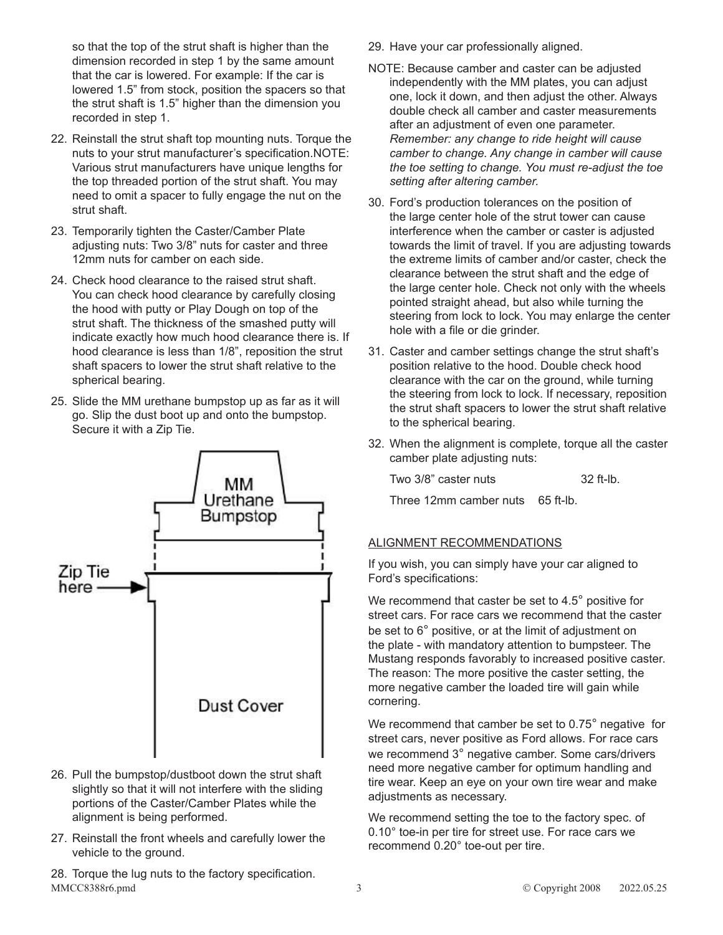so that the top of the strut shaft is higher than the dimension recorded in step 1 by the same amount that the car is lowered. For example: If the car is lowered 1.5" from stock, position the spacers so that the strut shaft is 1.5" higher than the dimension you recorded in step 1.

- 22. Reinstall the strut shaft top mounting nuts. Torque the nuts to your strut manufacturer's specification.NOTE: Various strut manufacturers have unique lengths for the top threaded portion of the strut shaft. You may need to omit a spacer to fully engage the nut on the strut shaft.
- 23. Temporarily tighten the Caster/Camber Plate adjusting nuts: Two 3/8" nuts for caster and three 12mm nuts for camber on each side.
- 24. Check hood clearance to the raised strut shaft. You can check hood clearance by carefully closing the hood with putty or Play Dough on top of the strut shaft. The thickness of the smashed putty will indicate exactly how much hood clearance there is. If hood clearance is less than 1/8", reposition the strut shaft spacers to lower the strut shaft relative to the spherical bearing.
- 25. Slide the MM urethane bumpstop up as far as it will go. Slip the dust boot up and onto the bumpstop. Secure it with a Zip Tie.



- 26. Pull the bumpstop/dustboot down the strut shaft slightly so that it will not interfere with the sliding portions of the Caster/Camber Plates while the alignment is being performed.
- 27. Reinstall the front wheels and carefully lower the vehicle to the ground.
- MMCC8388r6.pmd 3 
2022.05.25 28. Torque the lug nuts to the factory specification.
- 29. Have your car professionally aligned.
- NOTE: Because camber and caster can be adjusted independently with the MM plates, you can adjust one, lock it down, and then adjust the other. Always double check all camber and caster measurements after an adjustment of even one parameter. *Remember: any change to ride height will cause camber to change. Any change in camber will cause the toe setting to change. You must re-adjust the toe setting after altering camber.*
- 30. Ford's production tolerances on the position of the large center hole of the strut tower can cause interference when the camber or caster is adjusted towards the limit of travel. If you are adjusting towards the extreme limits of camber and/or caster, check the clearance between the strut shaft and the edge of the large center hole. Check not only with the wheels pointed straight ahead, but also while turning the steering from lock to lock. You may enlarge the center hole with a file or die grinder.
- 31. Caster and camber settings change the strut shaft's position relative to the hood. Double check hood clearance with the car on the ground, while turning the steering from lock to lock. If necessary, reposition the strut shaft spacers to lower the strut shaft relative to the spherical bearing.
- 32. When the alignment is complete, torque all the caster camber plate adjusting nuts:

| Two 3/8" caster nuts | $32$ ft-lb. |
|----------------------|-------------|
|----------------------|-------------|

Three 12mm camber nuts 65 ft-lb.

## ALIGNMENT RECOMMENDATIONS

If you wish, you can simply have your car aligned to Ford's specifications:

We recommend that caster be set to 4.5° positive for street cars. For race cars we recommend that the caster be set to 6° positive, or at the limit of adjustment on the plate - with mandatory attention to bumpsteer. The Mustang responds favorably to increased positive caster. The reason: The more positive the caster setting, the more negative camber the loaded tire will gain while cornering.

We recommend that camber be set to 0.75° negative for street cars, never positive as Ford allows. For race cars we recommend 3° negative camber. Some cars/drivers need more negative camber for optimum handling and tire wear. Keep an eye on your own tire wear and make adjustments as necessary.

We recommend setting the toe to the factory spec. of 0.10° toe-in per tire for street use. For race cars we recommend 0.20° toe-out per tire.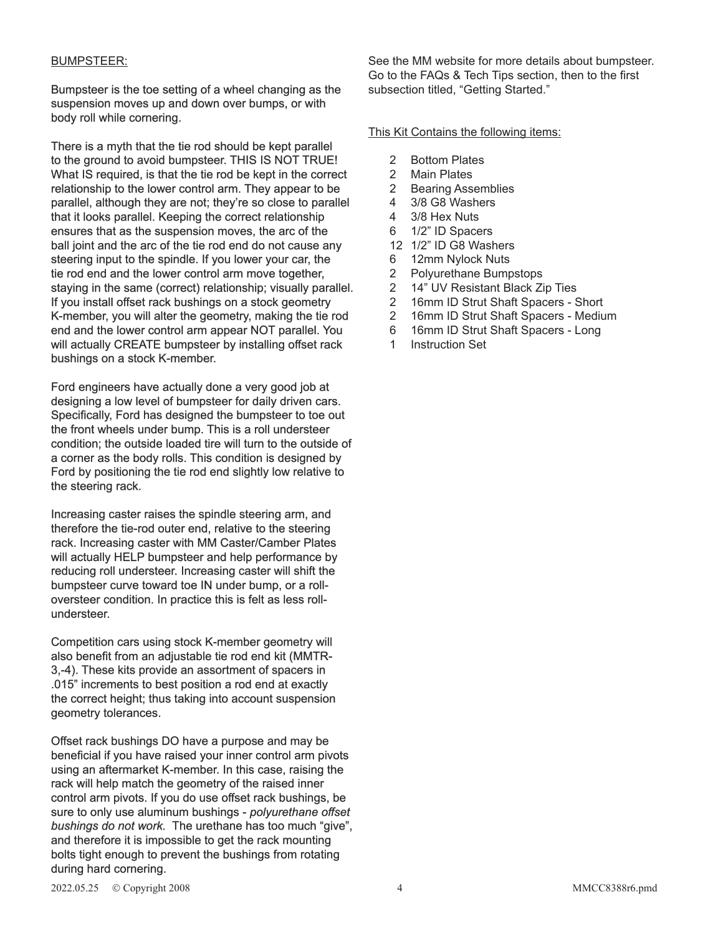#### BUMPSTEER:

Bumpsteer is the toe setting of a wheel changing as the suspension moves up and down over bumps, or with body roll while cornering.

There is a myth that the tie rod should be kept parallel to the ground to avoid bumpsteer. THIS IS NOT TRUE! What IS required, is that the tie rod be kept in the correct relationship to the lower control arm. They appear to be parallel, although they are not; they're so close to parallel that it looks parallel. Keeping the correct relationship ensures that as the suspension moves, the arc of the ball joint and the arc of the tie rod end do not cause any steering input to the spindle. If you lower your car, the tie rod end and the lower control arm move together, staying in the same (correct) relationship; visually parallel. If you install offset rack bushings on a stock geometry K-member, you will alter the geometry, making the tie rod end and the lower control arm appear NOT parallel. You will actually CREATE bumpsteer by installing offset rack bushings on a stock K-member.

Ford engineers have actually done a very good job at designing a low level of bumpsteer for daily driven cars. Specifically, Ford has designed the bumpsteer to toe out the front wheels under bump. This is a roll understeer condition; the outside loaded tire will turn to the outside of a corner as the body rolls. This condition is designed by Ford by positioning the tie rod end slightly low relative to the steering rack.

Increasing caster raises the spindle steering arm, and therefore the tie-rod outer end, relative to the steering rack. Increasing caster with MM Caster/Camber Plates will actually HELP bumpsteer and help performance by reducing roll understeer. Increasing caster will shift the bumpsteer curve toward toe IN under bump, or a rolloversteer condition. In practice this is felt as less rollundersteer.

Competition cars using stock K-member geometry will also benefit from an adjustable tie rod end kit (MMTR-3,-4). These kits provide an assortment of spacers in .015" increments to best position a rod end at exactly the correct height; thus taking into account suspension geometry tolerances.

Offset rack bushings DO have a purpose and may be beneficial if you have raised your inner control arm pivots using an aftermarket K-member. In this case, raising the rack will help match the geometry of the raised inner control arm pivots. If you do use offset rack bushings, be sure to only use aluminum bushings - *polyurethane offset bushings do not work.* The urethane has too much "give", and therefore it is impossible to get the rack mounting bolts tight enough to prevent the bushings from rotating during hard cornering.

See the MM website for more details about bumpsteer. Go to the FAQs & Tech Tips section, then to the first subsection titled, "Getting Started."

This Kit Contains the following items:

- 2 Bottom Plates
- 2 Main Plates
- 2 Bearing Assemblies
- 4 3/8 G8 Washers
- 4 3/8 Hex Nuts
- 6 1/2" ID Spacers
- 12 1/2" ID G8 Washers
- 6 12mm Nylock Nuts
- 2 Polyurethane Bumpstops
- 2 14" UV Resistant Black Zip Ties
- 2 16mm ID Strut Shaft Spacers Short
- 2 16mm ID Strut Shaft Spacers Medium
- 6 16mm ID Strut Shaft Spacers Long
- 1 Instruction Set